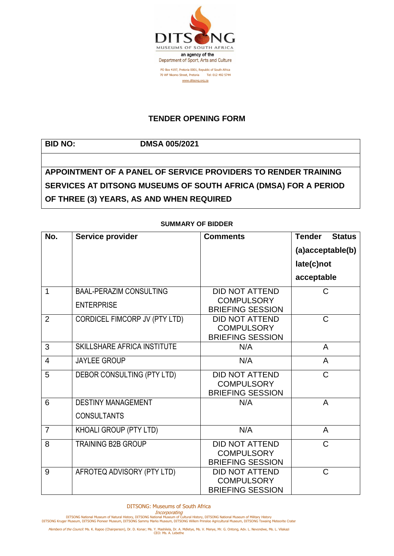

## **TENDER OPENING FORM**

**BID NO: DMSA 005/2021**

## **APPOINTMENT OF A PANEL OF SERVICE PROVIDERS TO RENDER TRAINING SERVICES AT DITSONG MUSEUMS OF SOUTH AFRICA (DMSA) FOR A PERIOD OF THREE (3) YEARS, AS AND WHEN REQUIRED**

| No.            | Service provider                   | <b>Comments</b>                                                       | <b>Tender</b><br><b>Status</b> |
|----------------|------------------------------------|-----------------------------------------------------------------------|--------------------------------|
|                |                                    |                                                                       | (a)acceptable(b)               |
|                |                                    |                                                                       | late(c)not                     |
|                |                                    |                                                                       | acceptable                     |
| 1              | <b>BAAL-PERAZIM CONSULTING</b>     | <b>DID NOT ATTEND</b>                                                 | C                              |
|                | <b>ENTERPRISE</b>                  | <b>COMPULSORY</b><br><b>BRIEFING SESSION</b>                          |                                |
| $\overline{2}$ | CORDICEL FIMCORP JV (PTY LTD)      | <b>DID NOT ATTEND</b><br><b>COMPULSORY</b>                            | $\mathsf{C}$                   |
|                |                                    | <b>BRIEFING SESSION</b>                                               |                                |
| 3              | <b>SKILLSHARE AFRICA INSTITUTE</b> | N/A                                                                   | A                              |
| $\overline{4}$ | <b>JAYLEE GROUP</b>                | N/A                                                                   | A                              |
| 5              | DEBOR CONSULTING (PTY LTD)         | <b>DID NOT ATTEND</b><br><b>COMPULSORY</b>                            | C                              |
| 6              | <b>DESTINY MANAGEMENT</b>          | <b>BRIEFING SESSION</b><br>N/A                                        | A                              |
|                | <b>CONSULTANTS</b>                 |                                                                       |                                |
| $\overline{7}$ | KHOALI GROUP (PTY LTD)             | N/A                                                                   | $\overline{A}$                 |
| 8              | <b>TRAINING B2B GROUP</b>          | <b>DID NOT ATTEND</b><br><b>COMPULSORY</b><br><b>BRIEFING SESSION</b> | $\mathsf{C}$                   |
| 9              | AFROTEQ ADVISORY (PTY LTD)         | <b>DID NOT ATTEND</b><br><b>COMPULSORY</b><br><b>BRIEFING SESSION</b> | C                              |

## **SUMMARY OF BIDDER**

DITSONG: Museums of South Africa

Incorporating<br>DITSONG National Museum of Natural History, DITSONG National Museum of Military History<br>DITSONG Kruger Museum, DITSONG Pioneer Museum, DITSONG Sammy Marks Museum, DITSONG Willem Prinsloo Agricultural Museum,

Members of the Council: Ms. K. Rapoo (Chairperson), Dr. D. Konar; Ms. Y. Mashilela, Dr. A. Mdletye, Ms. V. Menye, Mr. G. Ontong, Adv. L. Nevondwe, Ms. L. Vilakazi<br>CEO: Ms. A. Lebethe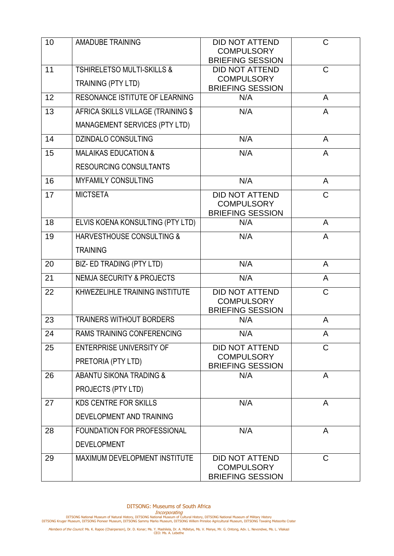| 10 | <b>AMADUBE TRAINING</b>                                             | <b>DID NOT ATTEND</b><br><b>COMPULSORY</b><br><b>BRIEFING SESSION</b> | C              |
|----|---------------------------------------------------------------------|-----------------------------------------------------------------------|----------------|
| 11 | <b>TSHIRELETSO MULTI-SKILLS &amp;</b><br>TRAINING (PTY LTD)         | <b>DID NOT ATTEND</b><br><b>COMPULSORY</b><br><b>BRIEFING SESSION</b> | C              |
| 12 | <b>RESONANCE ISTITUTE OF LEARNING</b>                               | N/A                                                                   | $\overline{A}$ |
| 13 | AFRICA SKILLS VILLAGE (TRAINING \$<br>MANAGEMENT SERVICES (PTY LTD) | N/A                                                                   | A              |
| 14 | <b>DZINDALO CONSULTING</b>                                          | N/A                                                                   | $\mathsf{A}$   |
| 15 | <b>MALAIKAS EDUCATION &amp;</b><br><b>RESOURCING CONSULTANTS</b>    | N/A                                                                   | $\mathsf{A}$   |
| 16 | <b>MYFAMILY CONSULTING</b>                                          | N/A                                                                   | A              |
| 17 | <b>MICTSETA</b>                                                     | <b>DID NOT ATTEND</b><br><b>COMPULSORY</b><br><b>BRIEFING SESSION</b> | $\mathsf{C}$   |
| 18 | ELVIS KOENA KONSULTING (PTY LTD)                                    | N/A                                                                   | $\mathsf{A}$   |
| 19 | <b>HARVESTHOUSE CONSULTING &amp;</b>                                | N/A                                                                   | A              |
|    | <b>TRAINING</b>                                                     |                                                                       |                |
| 20 | BIZ- ED TRADING (PTY LTD)                                           | N/A                                                                   | A              |
| 21 | <b>NEMJA SECURITY &amp; PROJECTS</b>                                | N/A                                                                   | A              |
| 22 | KHWEZELIHLE TRAINING INSTITUTE                                      | <b>DID NOT ATTEND</b><br><b>COMPULSORY</b><br><b>BRIEFING SESSION</b> | C              |
| 23 | <b>TRAINERS WITHOUT BORDERS</b>                                     | N/A                                                                   | A              |
| 24 | <b>RAMS TRAINING CONFERENCING</b>                                   | N/A                                                                   | A              |
| 25 | <b>ENTERPRISE UNIVERSITY OF</b><br>PRETORIA (PTY LTD)               | <b>DID NOT ATTEND</b><br><b>COMPULSORY</b><br><b>BRIEFING SESSION</b> | C              |
| 26 | <b>ABANTU SIKONA TRADING &amp;</b><br>PROJECTS (PTY LTD)            | N/A                                                                   | A              |
| 27 | <b>KDS CENTRE FOR SKILLS</b><br>DEVELOPMENT AND TRAINING            | N/A                                                                   | $\mathsf{A}$   |
| 28 | FOUNDATION FOR PROFESSIONAL<br><b>DEVELOPMENT</b>                   | N/A                                                                   | $\mathsf{A}$   |
| 29 | MAXIMUM DEVELOPMENT INSTITUTE                                       | <b>DID NOT ATTEND</b><br><b>COMPULSORY</b><br><b>BRIEFING SESSION</b> | $\mathsf{C}$   |

Incorporating<br>DITSONG National Museum of Natural History, DITSONG National Museum of Military History<br>DITSONG Kruger Museum, DITSONG Pioneer Museum, DITSONG Sammy Marks Museum, DITSONG Willem Prinsloo Agricultural Museum,